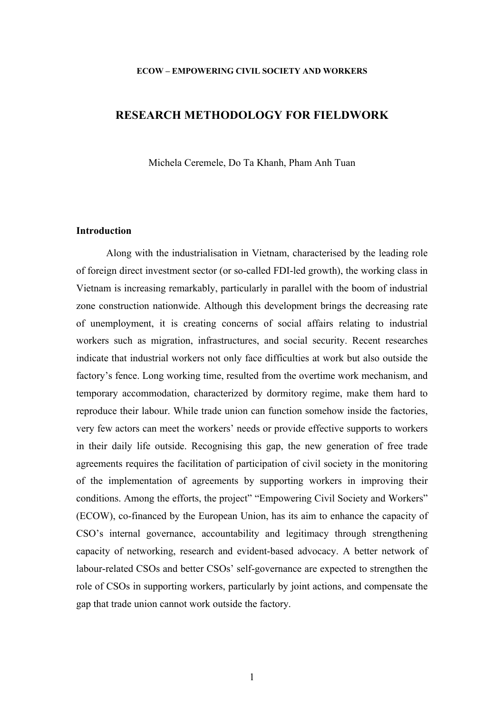#### **ECOW – EMPOWERING CIVIL SOCIETY AND WORKERS**

## **RESEARCH METHODOLOGY FOR FIELDWORK**

Michela Ceremele, Do Ta Khanh, Pham Anh Tuan

#### **Introduction**

Along with the industrialisation in Vietnam, characterised by the leading role of foreign direct investment sector (or so-called FDI-led growth), the working class in Vietnam is increasing remarkably, particularly in parallel with the boom of industrial zone construction nationwide. Although this development brings the decreasing rate of unemployment, it is creating concerns of social affairs relating to industrial workers such as migration, infrastructures, and social security. Recent researches indicate that industrial workers not only face difficulties at work but also outside the factory's fence. Long working time, resulted from the overtime work mechanism, and temporary accommodation, characterized by dormitory regime, make them hard to reproduce their labour. While trade union can function somehow inside the factories, very few actors can meet the workers' needs or provide effective supports to workers in their daily life outside. Recognising this gap, the new generation of free trade agreements requires the facilitation of participation of civil society in the monitoring of the implementation of agreements by supporting workers in improving their conditions. Among the efforts, the project" "Empowering Civil Society and Workers" (ECOW), co-financed by the European Union, has its aim to enhance the capacity of CSO's internal governance, accountability and legitimacy through strengthening capacity of networking, research and evident-based advocacy. A better network of labour-related CSOs and better CSOs' self-governance are expected to strengthen the role of CSOs in supporting workers, particularly by joint actions, and compensate the gap that trade union cannot work outside the factory.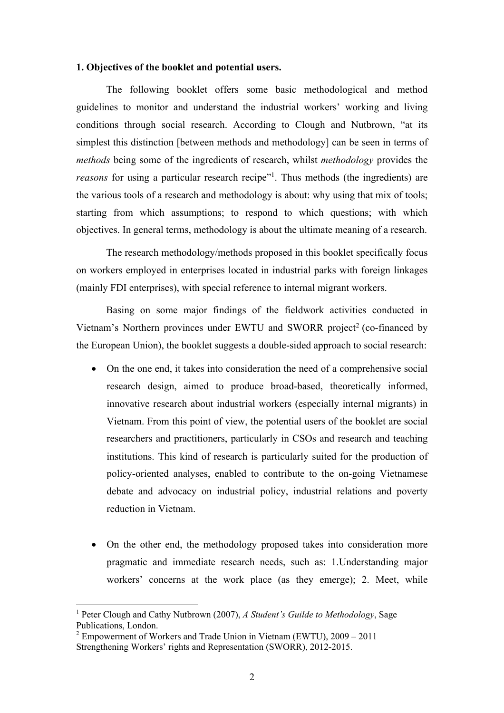#### **1. Objectives of the booklet and potential users.**

The following booklet offers some basic methodological and method guidelines to monitor and understand the industrial workers' working and living conditions through social research. According to Clough and Nutbrown, "at its simplest this distinction [between methods and methodology] can be seen in terms of *methods* being some of the ingredients of research, whilst *methodology* provides the *reasons* for using a particular research recipe"<sup>1</sup>. Thus methods (the ingredients) are the various tools of a research and methodology is about: why using that mix of tools; starting from which assumptions; to respond to which questions; with which objectives. In general terms, methodology is about the ultimate meaning of a research.

The research methodology/methods proposed in this booklet specifically focus on workers employed in enterprises located in industrial parks with foreign linkages (mainly FDI enterprises), with special reference to internal migrant workers.

Basing on some major findings of the fieldwork activities conducted in Vietnam's Northern provinces under EWTU and SWORR project<sup>2</sup> (co-financed by the European Union), the booklet suggests a double-sided approach to social research:

- On the one end, it takes into consideration the need of a comprehensive social research design, aimed to produce broad-based, theoretically informed, innovative research about industrial workers (especially internal migrants) in Vietnam. From this point of view, the potential users of the booklet are social researchers and practitioners, particularly in CSOs and research and teaching institutions. This kind of research is particularly suited for the production of policy-oriented analyses, enabled to contribute to the on-going Vietnamese debate and advocacy on industrial policy, industrial relations and poverty reduction in Vietnam.
- On the other end, the methodology proposed takes into consideration more pragmatic and immediate research needs, such as: 1.Understanding major workers' concerns at the work place (as they emerge); 2. Meet, while

<sup>1</sup> Peter Clough and Cathy Nutbrown (2007), *A Student's Guilde to Methodology*, Sage Publications, London.

<sup>&</sup>lt;sup>2</sup> Empowerment of Workers and Trade Union in Vietnam (EWTU),  $2009 - 2011$ Strengthening Workers' rights and Representation (SWORR), 2012-2015.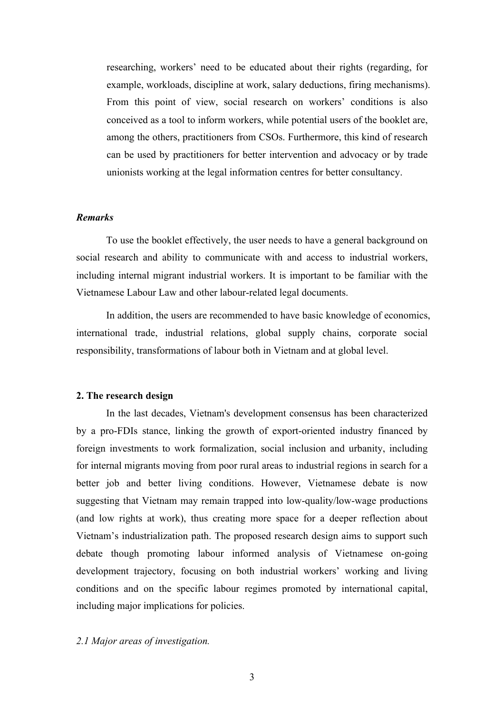researching, workers' need to be educated about their rights (regarding, for example, workloads, discipline at work, salary deductions, firing mechanisms). From this point of view, social research on workers' conditions is also conceived as a tool to inform workers, while potential users of the booklet are, among the others, practitioners from CSOs. Furthermore, this kind of research can be used by practitioners for better intervention and advocacy or by trade unionists working at the legal information centres for better consultancy.

## *Remarks*

To use the booklet effectively, the user needs to have a general background on social research and ability to communicate with and access to industrial workers, including internal migrant industrial workers. It is important to be familiar with the Vietnamese Labour Law and other labour-related legal documents.

In addition, the users are recommended to have basic knowledge of economics, international trade, industrial relations, global supply chains, corporate social responsibility, transformations of labour both in Vietnam and at global level.

#### **2. The research design**

In the last decades, Vietnam's development consensus has been characterized by a pro-FDIs stance, linking the growth of export-oriented industry financed by foreign investments to work formalization, social inclusion and urbanity, including for internal migrants moving from poor rural areas to industrial regions in search for a better job and better living conditions. However, Vietnamese debate is now suggesting that Vietnam may remain trapped into low-quality/low-wage productions (and low rights at work), thus creating more space for a deeper reflection about Vietnam's industrialization path. The proposed research design aims to support such debate though promoting labour informed analysis of Vietnamese on-going development trajectory, focusing on both industrial workers' working and living conditions and on the specific labour regimes promoted by international capital, including major implications for policies.

#### *2.1 Major areas of investigation.*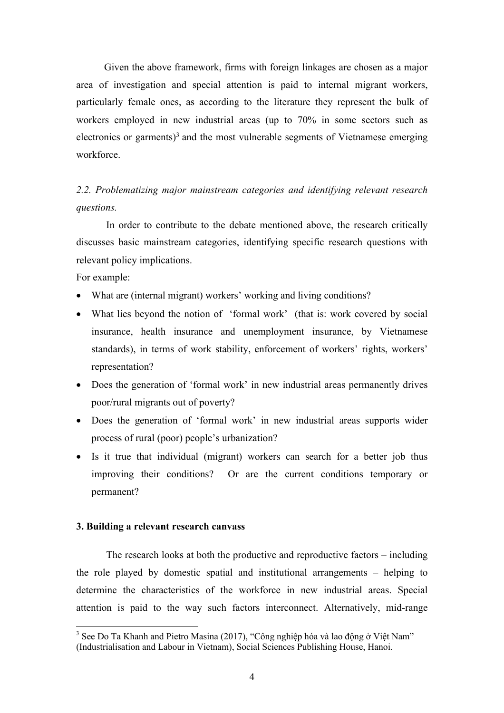Given the above framework, firms with foreign linkages are chosen as a major area of investigation and special attention is paid to internal migrant workers, particularly female ones, as according to the literature they represent the bulk of workers employed in new industrial areas (up to 70% in some sectors such as electronics or garments)<sup>3</sup> and the most vulnerable segments of Vietnamese emerging workforce.

## *2.2. Problematizing major mainstream categories and identifying relevant research questions.*

In order to contribute to the debate mentioned above, the research critically discusses basic mainstream categories, identifying specific research questions with relevant policy implications.

For example:

- What are (internal migrant) workers' working and living conditions?
- What lies beyond the notion of 'formal work' (that is: work covered by social insurance, health insurance and unemployment insurance, by Vietnamese standards), in terms of work stability, enforcement of workers' rights, workers' representation?
- Does the generation of 'formal work' in new industrial areas permanently drives poor/rural migrants out of poverty?
- Does the generation of 'formal work' in new industrial areas supports wider process of rural (poor) people's urbanization?
- Is it true that individual (migrant) workers can search for a better job thus improving their conditions? Or are the current conditions temporary or permanent?

### **3. Building a relevant research canvass**

The research looks at both the productive and reproductive factors – including the role played by domestic spatial and institutional arrangements – helping to determine the characteristics of the workforce in new industrial areas. Special attention is paid to the way such factors interconnect. Alternatively, mid-range

<sup>&</sup>lt;sup>3</sup> See Do Ta Khanh and Pietro Masina (2017), "Công nghiệp hóa và lao đông ở Việt Nam" (Industrialisation and Labour in Vietnam), Social Sciences Publishing House, Hanoi.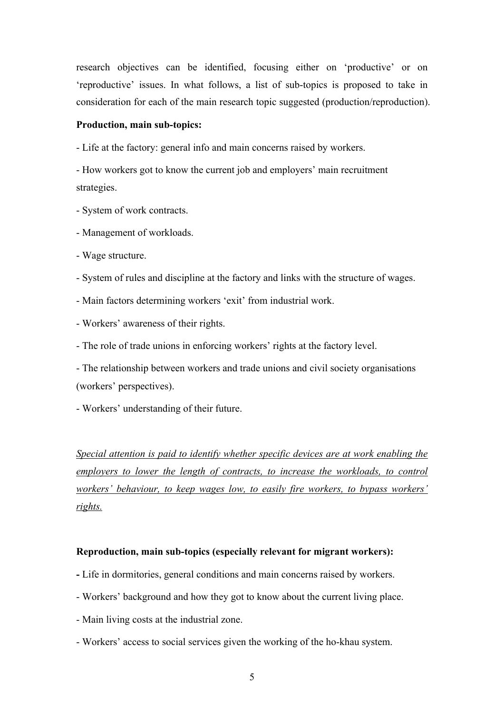research objectives can be identified, focusing either on 'productive' or on 'reproductive' issues. In what follows, a list of sub-topics is proposed to take in consideration for each of the main research topic suggested (production/reproduction).

## **Production, main sub-topics:**

- Life at the factory: general info and main concerns raised by workers.

- How workers got to know the current job and employers' main recruitment strategies.

- System of work contracts.

- Management of workloads.
- Wage structure.
- System of rules and discipline at the factory and links with the structure of wages.
- Main factors determining workers 'exit' from industrial work.
- Workers' awareness of their rights.
- The role of trade unions in enforcing workers' rights at the factory level.

- The relationship between workers and trade unions and civil society organisations (workers' perspectives).

- Workers' understanding of their future.

*Special attention is paid to identify whether specific devices are at work enabling the employers to lower the length of contracts, to increase the workloads, to control workers' behaviour, to keep wages low, to easily fire workers, to bypass workers' rights.* 

#### **Reproduction, main sub-topics (especially relevant for migrant workers):**

- **-** Life in dormitories, general conditions and main concerns raised by workers.
- Workers' background and how they got to know about the current living place.
- Main living costs at the industrial zone.
- Workers' access to social services given the working of the ho-khau system.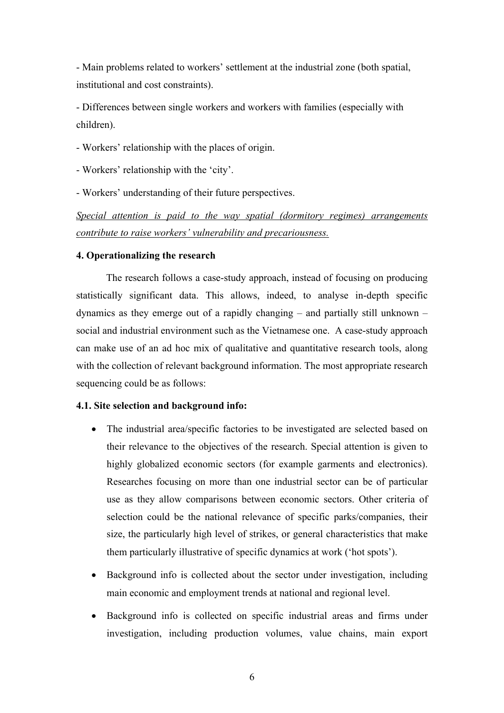- Main problems related to workers' settlement at the industrial zone (both spatial, institutional and cost constraints).

- Differences between single workers and workers with families (especially with children).

- Workers' relationship with the places of origin.
- Workers' relationship with the 'city'.
- Workers' understanding of their future perspectives.

*Special attention is paid to the way spatial (dormitory regimes) arrangements contribute to raise workers' vulnerability and precariousness.* 

## **4. Operationalizing the research**

The research follows a case-study approach, instead of focusing on producing statistically significant data. This allows, indeed, to analyse in-depth specific dynamics as they emerge out of a rapidly changing – and partially still unknown – social and industrial environment such as the Vietnamese one. A case-study approach can make use of an ad hoc mix of qualitative and quantitative research tools, along with the collection of relevant background information. The most appropriate research sequencing could be as follows:

#### **4.1. Site selection and background info:**

- The industrial area/specific factories to be investigated are selected based on their relevance to the objectives of the research. Special attention is given to highly globalized economic sectors (for example garments and electronics). Researches focusing on more than one industrial sector can be of particular use as they allow comparisons between economic sectors. Other criteria of selection could be the national relevance of specific parks/companies, their size, the particularly high level of strikes, or general characteristics that make them particularly illustrative of specific dynamics at work ('hot spots').
- Background info is collected about the sector under investigation, including main economic and employment trends at national and regional level.
- Background info is collected on specific industrial areas and firms under investigation, including production volumes, value chains, main export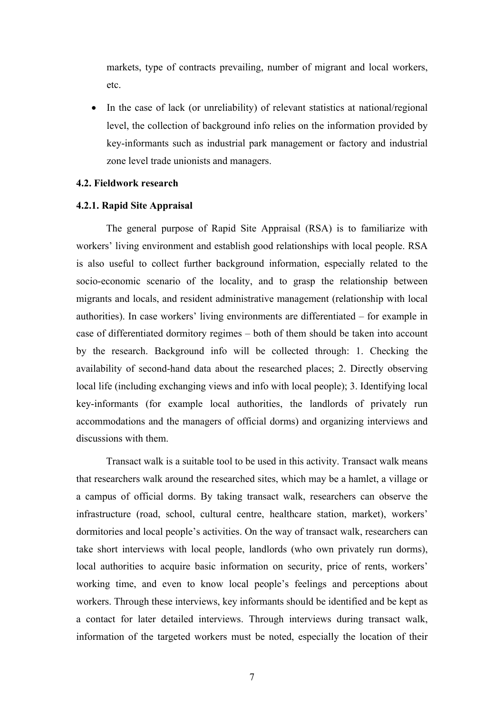markets, type of contracts prevailing, number of migrant and local workers, etc.

• In the case of lack (or unreliability) of relevant statistics at national/regional level, the collection of background info relies on the information provided by key-informants such as industrial park management or factory and industrial zone level trade unionists and managers.

### **4.2. Fieldwork research**

#### **4.2.1. Rapid Site Appraisal**

The general purpose of Rapid Site Appraisal (RSA) is to familiarize with workers' living environment and establish good relationships with local people. RSA is also useful to collect further background information, especially related to the socio-economic scenario of the locality, and to grasp the relationship between migrants and locals, and resident administrative management (relationship with local authorities). In case workers' living environments are differentiated – for example in case of differentiated dormitory regimes – both of them should be taken into account by the research. Background info will be collected through: 1. Checking the availability of second-hand data about the researched places; 2. Directly observing local life (including exchanging views and info with local people); 3. Identifying local key-informants (for example local authorities, the landlords of privately run accommodations and the managers of official dorms) and organizing interviews and discussions with them.

Transact walk is a suitable tool to be used in this activity. Transact walk means that researchers walk around the researched sites, which may be a hamlet, a village or a campus of official dorms. By taking transact walk, researchers can observe the infrastructure (road, school, cultural centre, healthcare station, market), workers' dormitories and local people's activities. On the way of transact walk, researchers can take short interviews with local people, landlords (who own privately run dorms), local authorities to acquire basic information on security, price of rents, workers' working time, and even to know local people's feelings and perceptions about workers. Through these interviews, key informants should be identified and be kept as a contact for later detailed interviews. Through interviews during transact walk, information of the targeted workers must be noted, especially the location of their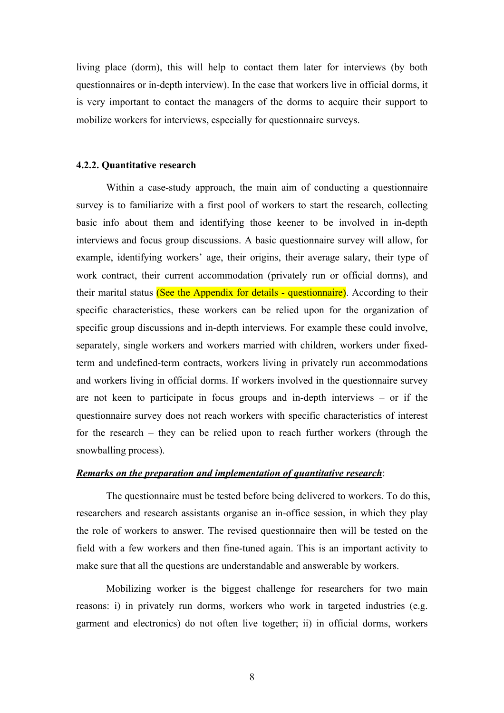living place (dorm), this will help to contact them later for interviews (by both questionnaires or in-depth interview). In the case that workers live in official dorms, it is very important to contact the managers of the dorms to acquire their support to mobilize workers for interviews, especially for questionnaire surveys.

#### **4.2.2. Quantitative research**

Within a case-study approach, the main aim of conducting a questionnaire survey is to familiarize with a first pool of workers to start the research, collecting basic info about them and identifying those keener to be involved in in-depth interviews and focus group discussions. A basic questionnaire survey will allow, for example, identifying workers' age, their origins, their average salary, their type of work contract, their current accommodation (privately run or official dorms), and their marital status (See the Appendix for details - questionnaire). According to their specific characteristics, these workers can be relied upon for the organization of specific group discussions and in-depth interviews. For example these could involve, separately, single workers and workers married with children, workers under fixedterm and undefined-term contracts, workers living in privately run accommodations and workers living in official dorms. If workers involved in the questionnaire survey are not keen to participate in focus groups and in-depth interviews – or if the questionnaire survey does not reach workers with specific characteristics of interest for the research – they can be relied upon to reach further workers (through the snowballing process).

#### *Remarks on the preparation and implementation of quantitative research*:

The questionnaire must be tested before being delivered to workers. To do this, researchers and research assistants organise an in-office session, in which they play the role of workers to answer. The revised questionnaire then will be tested on the field with a few workers and then fine-tuned again. This is an important activity to make sure that all the questions are understandable and answerable by workers.

Mobilizing worker is the biggest challenge for researchers for two main reasons: i) in privately run dorms, workers who work in targeted industries (e.g. garment and electronics) do not often live together; ii) in official dorms, workers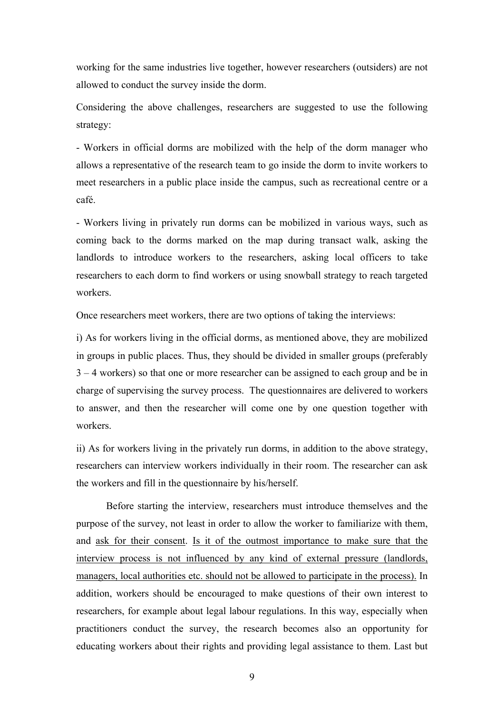working for the same industries live together, however researchers (outsiders) are not allowed to conduct the survey inside the dorm.

Considering the above challenges, researchers are suggested to use the following strategy:

- Workers in official dorms are mobilized with the help of the dorm manager who allows a representative of the research team to go inside the dorm to invite workers to meet researchers in a public place inside the campus, such as recreational centre or a café.

- Workers living in privately run dorms can be mobilized in various ways, such as coming back to the dorms marked on the map during transact walk, asking the landlords to introduce workers to the researchers, asking local officers to take researchers to each dorm to find workers or using snowball strategy to reach targeted workers.

Once researchers meet workers, there are two options of taking the interviews:

i) As for workers living in the official dorms, as mentioned above, they are mobilized in groups in public places. Thus, they should be divided in smaller groups (preferably 3 – 4 workers) so that one or more researcher can be assigned to each group and be in charge of supervising the survey process. The questionnaires are delivered to workers to answer, and then the researcher will come one by one question together with workers.

ii) As for workers living in the privately run dorms, in addition to the above strategy, researchers can interview workers individually in their room. The researcher can ask the workers and fill in the questionnaire by his/herself.

Before starting the interview, researchers must introduce themselves and the purpose of the survey, not least in order to allow the worker to familiarize with them, and ask for their consent. Is it of the outmost importance to make sure that the interview process is not influenced by any kind of external pressure (landlords, managers, local authorities etc. should not be allowed to participate in the process). In addition, workers should be encouraged to make questions of their own interest to researchers, for example about legal labour regulations. In this way, especially when practitioners conduct the survey, the research becomes also an opportunity for educating workers about their rights and providing legal assistance to them. Last but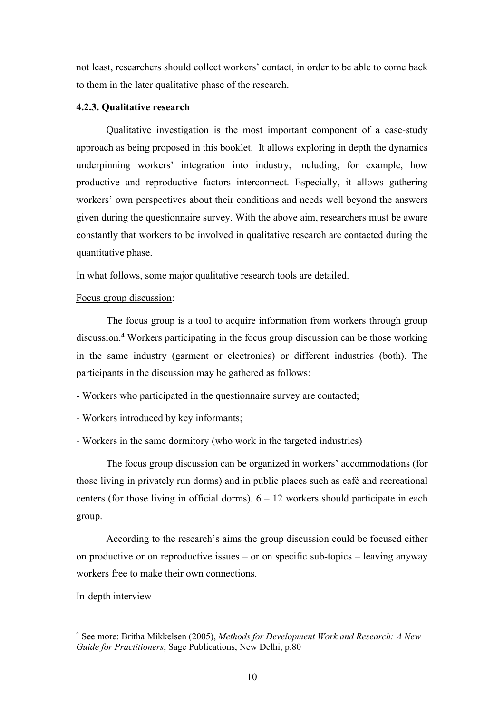not least, researchers should collect workers' contact, in order to be able to come back to them in the later qualitative phase of the research.

#### **4.2.3. Qualitative research**

Qualitative investigation is the most important component of a case-study approach as being proposed in this booklet. It allows exploring in depth the dynamics underpinning workers' integration into industry, including, for example, how productive and reproductive factors interconnect. Especially, it allows gathering workers' own perspectives about their conditions and needs well beyond the answers given during the questionnaire survey. With the above aim, researchers must be aware constantly that workers to be involved in qualitative research are contacted during the quantitative phase.

In what follows, some major qualitative research tools are detailed.

#### Focus group discussion:

The focus group is a tool to acquire information from workers through group discussion.4 Workers participating in the focus group discussion can be those working in the same industry (garment or electronics) or different industries (both). The participants in the discussion may be gathered as follows:

- Workers who participated in the questionnaire survey are contacted;
- Workers introduced by key informants;
- Workers in the same dormitory (who work in the targeted industries)

The focus group discussion can be organized in workers' accommodations (for those living in privately run dorms) and in public places such as café and recreational centers (for those living in official dorms).  $6 - 12$  workers should participate in each group.

According to the research's aims the group discussion could be focused either on productive or on reproductive issues – or on specific sub-topics – leaving anyway workers free to make their own connections.

## In-depth interview

<sup>4</sup> See more: Britha Mikkelsen (2005), *Methods for Development Work and Research: A New Guide for Practitioners*, Sage Publications, New Delhi, p.80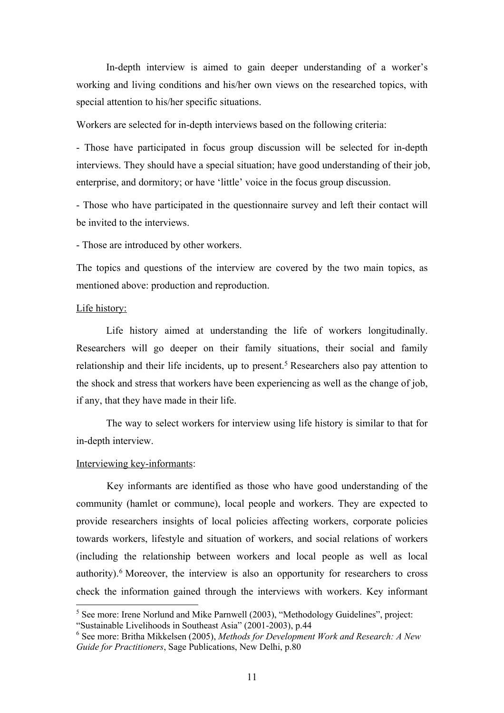In-depth interview is aimed to gain deeper understanding of a worker's working and living conditions and his/her own views on the researched topics, with special attention to his/her specific situations.

Workers are selected for in-depth interviews based on the following criteria:

- Those have participated in focus group discussion will be selected for in-depth interviews. They should have a special situation; have good understanding of their job, enterprise, and dormitory; or have 'little' voice in the focus group discussion.

- Those who have participated in the questionnaire survey and left their contact will be invited to the interviews.

- Those are introduced by other workers.

The topics and questions of the interview are covered by the two main topics, as mentioned above: production and reproduction.

#### Life history:

Life history aimed at understanding the life of workers longitudinally. Researchers will go deeper on their family situations, their social and family relationship and their life incidents, up to present.<sup>5</sup> Researchers also pay attention to the shock and stress that workers have been experiencing as well as the change of job, if any, that they have made in their life.

The way to select workers for interview using life history is similar to that for in-depth interview.

## Interviewing key-informants:

Key informants are identified as those who have good understanding of the community (hamlet or commune), local people and workers. They are expected to provide researchers insights of local policies affecting workers, corporate policies towards workers, lifestyle and situation of workers, and social relations of workers (including the relationship between workers and local people as well as local authority).6 Moreover, the interview is also an opportunity for researchers to cross check the information gained through the interviews with workers. Key informant

<sup>&</sup>lt;sup>5</sup> See more: Irene Norlund and Mike Parnwell (2003), "Methodology Guidelines", project: "Sustainable Livelihoods in Southeast Asia" (2001-2003), p.44

<sup>6</sup> See more: Britha Mikkelsen (2005), *Methods for Development Work and Research: A New Guide for Practitioners*, Sage Publications, New Delhi, p.80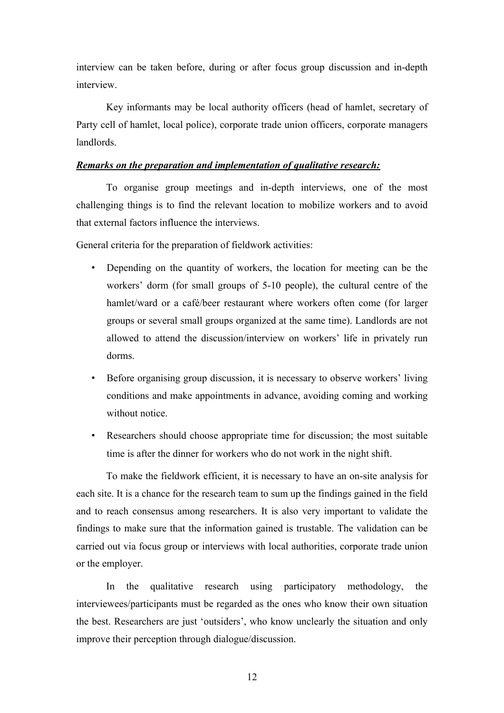interview can be taken before, during or after focus group discussion and in-depth interview.

Key informants may be local authority officers (head of hamlet, secretary of Party cell of hamlet, local police), corporate trade union officers, corporate managers landlords.

#### *Remarks on the preparation and implementation of qualitative research:*

To organise group meetings and in-depth interviews, one of the most challenging things is to find the relevant location to mobilize workers and to avoid that external factors influence the interviews.

General criteria for the preparation of fieldwork activities:

- Depending on the quantity of workers, the location for meeting can be the workers' dorm (for small groups of 5-10 people), the cultural centre of the hamlet/ward or a café/beer restaurant where workers often come (for larger groups or several small groups organized at the same time). Landlords are not allowed to attend the discussion/interview on workers' life in privately run dorms.
- Before organising group discussion, it is necessary to observe workers' living conditions and make appointments in advance, avoiding coming and working without notice.
- Researchers should choose appropriate time for discussion; the most suitable time is after the dinner for workers who do not work in the night shift.

To make the fieldwork efficient, it is necessary to have an on-site analysis for each site. It is a chance for the research team to sum up the findings gained in the field and to reach consensus among researchers. It is also very important to validate the findings to make sure that the information gained is trustable. The validation can be carried out via focus group or interviews with local authorities, corporate trade union or the employer.

In the qualitative research using participatory methodology, the interviewees/participants must be regarded as the ones who know their own situation the best. Researchers are just 'outsiders', who know unclearly the situation and only improve their perception through dialogue/discussion.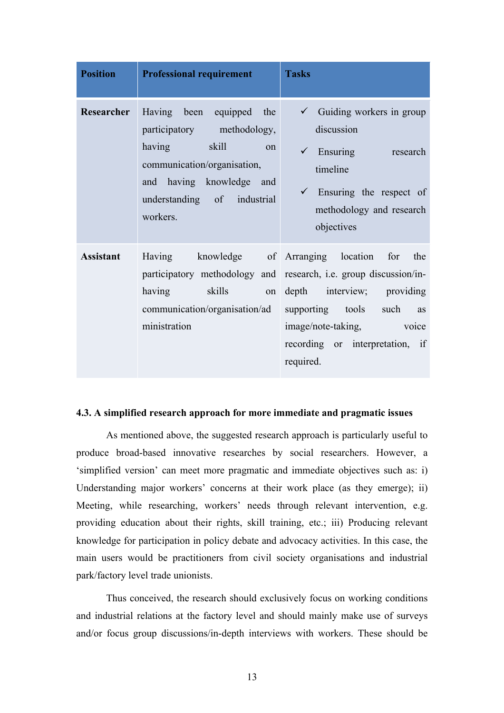| <b>Position</b>  | <b>Professional requirement</b>                                                                                                                                                       | <b>Tasks</b>                                                                                                                                                                                                                                                    |
|------------------|---------------------------------------------------------------------------------------------------------------------------------------------------------------------------------------|-----------------------------------------------------------------------------------------------------------------------------------------------------------------------------------------------------------------------------------------------------------------|
| Researcher       | Having been equipped the<br>participatory methodology,<br>having<br>skill<br>on<br>communication/organisation,<br>and having knowledge and<br>understanding of industrial<br>workers. | $\checkmark$ Guiding workers in group<br>discussion<br>$\checkmark$ Ensuring research<br>timeline<br>$\checkmark$ Ensuring the respect of<br>methodology and research<br>objectives                                                                             |
| <b>Assistant</b> | skills<br>having<br>communication/organisation/ad<br>ministration                                                                                                                     | Having knowledge of Arranging location for the<br>participatory methodology and research, i.e. group discussion/in-<br>on depth interview; providing<br>supporting tools such<br>as<br>image/note-taking, voice<br>recording or interpretation, if<br>required. |

## **4.3. A simplified research approach for more immediate and pragmatic issues**

As mentioned above, the suggested research approach is particularly useful to produce broad-based innovative researches by social researchers. However, a 'simplified version' can meet more pragmatic and immediate objectives such as: i) Understanding major workers' concerns at their work place (as they emerge); ii) Meeting, while researching, workers' needs through relevant intervention, e.g. providing education about their rights, skill training, etc.; iii) Producing relevant knowledge for participation in policy debate and advocacy activities. In this case, the main users would be practitioners from civil society organisations and industrial park/factory level trade unionists.

Thus conceived, the research should exclusively focus on working conditions and industrial relations at the factory level and should mainly make use of surveys and/or focus group discussions/in-depth interviews with workers. These should be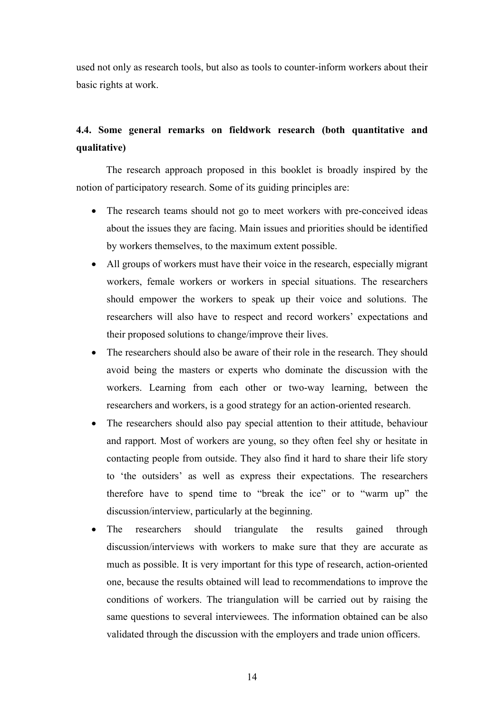used not only as research tools, but also as tools to counter-inform workers about their basic rights at work.

# **4.4. Some general remarks on fieldwork research (both quantitative and qualitative)**

The research approach proposed in this booklet is broadly inspired by the notion of participatory research. Some of its guiding principles are:

- The research teams should not go to meet workers with pre-conceived ideas about the issues they are facing. Main issues and priorities should be identified by workers themselves, to the maximum extent possible.
- All groups of workers must have their voice in the research, especially migrant workers, female workers or workers in special situations. The researchers should empower the workers to speak up their voice and solutions. The researchers will also have to respect and record workers' expectations and their proposed solutions to change/improve their lives.
- The researchers should also be aware of their role in the research. They should avoid being the masters or experts who dominate the discussion with the workers. Learning from each other or two-way learning, between the researchers and workers, is a good strategy for an action-oriented research.
- The researchers should also pay special attention to their attitude, behaviour and rapport. Most of workers are young, so they often feel shy or hesitate in contacting people from outside. They also find it hard to share their life story to 'the outsiders' as well as express their expectations. The researchers therefore have to spend time to "break the ice" or to "warm up" the discussion/interview, particularly at the beginning.
- The researchers should triangulate the results gained through discussion/interviews with workers to make sure that they are accurate as much as possible. It is very important for this type of research, action-oriented one, because the results obtained will lead to recommendations to improve the conditions of workers. The triangulation will be carried out by raising the same questions to several interviewees. The information obtained can be also validated through the discussion with the employers and trade union officers.